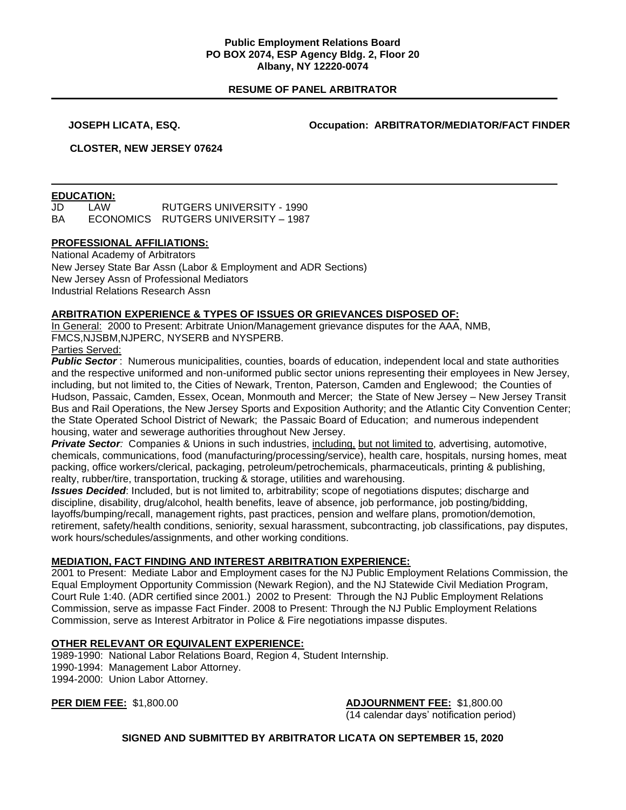#### **Public Employment Relations Board PO BOX 2074, ESP Agency Bldg. 2, Floor 20 Albany, NY 12220-0074**

## **RESUME OF PANEL ARBITRATOR**

**JOSEPH LICATA, ESQ. Occupation: ARBITRATOR/MEDIATOR/FACT FINDER**

**CLOSTER, NEW JERSEY 07624** 

#### **EDUCATION:**

| JD | I AW      | RUTGERS UNIVERSITY - 1990 |
|----|-----------|---------------------------|
| BA | ECONOMICS | RUTGERS UNIVERSITY – 1987 |

#### **PROFESSIONAL AFFILIATIONS:**

National Academy of Arbitrators New Jersey State Bar Assn (Labor & Employment and ADR Sections) New Jersey Assn of Professional Mediators Industrial Relations Research Assn

## **ARBITRATION EXPERIENCE & TYPES OF ISSUES OR GRIEVANCES DISPOSED OF:**

In General: 2000 to Present: Arbitrate Union/Management grievance disputes for the AAA, NMB, FMCS,NJSBM,NJPERC, NYSERB and NYSPERB.

Parties Served:

*Public Sector* : Numerous municipalities, counties, boards of education, independent local and state authorities and the respective uniformed and non-uniformed public sector unions representing their employees in New Jersey, including, but not limited to, the Cities of Newark, Trenton, Paterson, Camden and Englewood; the Counties of Hudson, Passaic, Camden, Essex, Ocean, Monmouth and Mercer; the State of New Jersey – New Jersey Transit Bus and Rail Operations, the New Jersey Sports and Exposition Authority; and the Atlantic City Convention Center; the State Operated School District of Newark; the Passaic Board of Education; and numerous independent housing, water and sewerage authorities throughout New Jersey.

**Private Sector**: Companies & Unions in such industries, including, but not limited to, advertising, automotive, chemicals, communications, food (manufacturing/processing/service), health care, hospitals, nursing homes, meat packing, office workers/clerical, packaging, petroleum/petrochemicals, pharmaceuticals, printing & publishing, realty, rubber/tire, transportation, trucking & storage, utilities and warehousing.

*Issues Decided*: Included, but is not limited to, arbitrability; scope of negotiations disputes; discharge and discipline, disability, drug/alcohol, health benefits, leave of absence, job performance, job posting/bidding, layoffs/bumping/recall, management rights, past practices, pension and welfare plans, promotion/demotion, retirement, safety/health conditions, seniority, sexual harassment, subcontracting, job classifications, pay disputes, work hours/schedules/assignments, and other working conditions.

#### **MEDIATION, FACT FINDING AND INTEREST ARBITRATION EXPERIENCE:**

2001 to Present: Mediate Labor and Employment cases for the NJ Public Employment Relations Commission, the Equal Employment Opportunity Commission (Newark Region), and the NJ Statewide Civil Mediation Program, Court Rule 1:40. (ADR certified since 2001.) 2002 to Present: Through the NJ Public Employment Relations Commission, serve as impasse Fact Finder. 2008 to Present: Through the NJ Public Employment Relations Commission, serve as Interest Arbitrator in Police & Fire negotiations impasse disputes.

# **OTHER RELEVANT OR EQUIVALENT EXPERIENCE:**

1989-1990: National Labor Relations Board, Region 4, Student Internship. 1990-1994: Management Labor Attorney. 1994-2000: Union Labor Attorney.

**PER DIEM FEE:** \$1,800.00 **ADJOURNMENT FEE:** \$1,800.00 (14 calendar days' notification period)

**SIGNED AND SUBMITTED BY ARBITRATOR LICATA ON SEPTEMBER 15, 2020**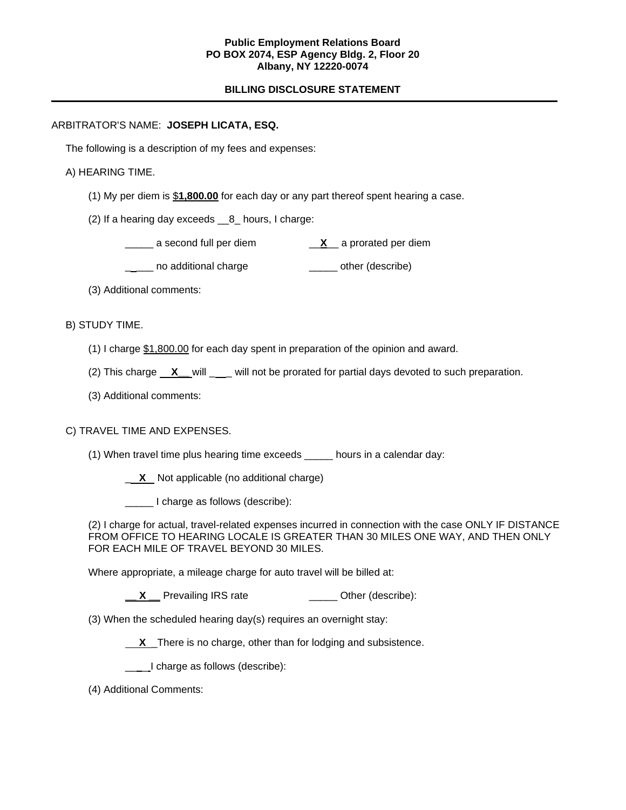### **Public Employment Relations Board PO BOX 2074, ESP Agency Bldg. 2, Floor 20 Albany, NY 12220-0074**

# **BILLING DISCLOSURE STATEMENT**

## ARBITRATOR'S NAME: **JOSEPH LICATA, ESQ.**

The following is a description of my fees and expenses:

### A) HEARING TIME.

- (1) My per diem is \$**1,800.00** for each day or any part thereof spent hearing a case.
- (2) If a hearing day exceeds \_\_8\_ hours, I charge:
	- \_\_\_\_\_ a second full per diem \_\_**X**\_\_ a prorated per diem
	- \_\_\_\_ no additional charge \_\_\_\_\_ other (describe)
- (3) Additional comments:

## B) STUDY TIME.

- (1) I charge \$1,800.00 for each day spent in preparation of the opinion and award.
- (2) This charge **X\_\_** will \_\_ will not be prorated for partial days devoted to such preparation.
- (3) Additional comments:

# C) TRAVEL TIME AND EXPENSES.

- (1) When travel time plus hearing time exceeds \_\_\_\_\_ hours in a calendar day:
	- **X** Not applicable (no additional charge)
	- \_\_\_\_\_ I charge as follows (describe):

(2) I charge for actual, travel-related expenses incurred in connection with the case ONLY IF DISTANCE FROM OFFICE TO HEARING LOCALE IS GREATER THAN 30 MILES ONE WAY, AND THEN ONLY FOR EACH MILE OF TRAVEL BEYOND 30 MILES.

Where appropriate, a mileage charge for auto travel will be billed at:

**X** Prevailing IRS rate **\_\_\_\_** Other (describe):

(3) When the scheduled hearing day(s) requires an overnight stay:

**X** \_There is no charge, other than for lodging and subsistence.

I charge as follows (describe):

(4) Additional Comments: